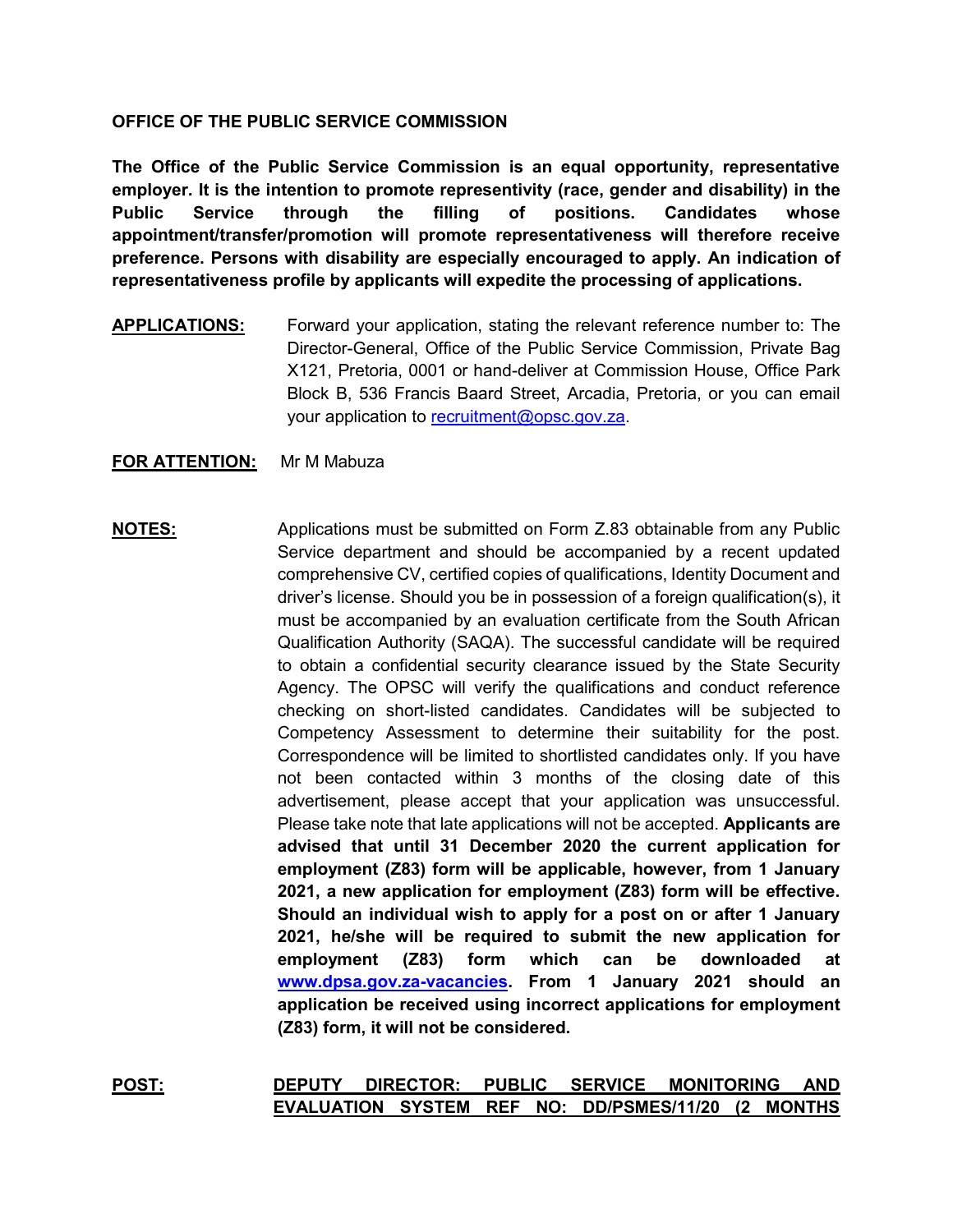## **OFFICE OF THE PUBLIC SERVICE COMMISSION**

**The Office of the Public Service Commission is an equal opportunity, representative employer. It is the intention to promote representivity (race, gender and disability) in the Public Service through the filling of positions. Candidates whose appointment/transfer/promotion will promote representativeness will therefore receive preference. Persons with disability are especially encouraged to apply. An indication of representativeness profile by applicants will expedite the processing of applications.**

**APPLICATIONS:** Forward your application, stating the relevant reference number to: The Director-General, Office of the Public Service Commission, Private Bag X121, Pretoria, 0001 or hand-deliver at Commission House, Office Park Block B, 536 Francis Baard Street, Arcadia, Pretoria, or you can email your application to [recruitment@opsc.gov.za.](mailto:recruitment@opsc.gov.za)

## **FOR ATTENTION:** Mr M Mabuza

**NOTES:** Applications must be submitted on Form Z.83 obtainable from any Public Service department and should be accompanied by a recent updated comprehensive CV, certified copies of qualifications, Identity Document and driver's license. Should you be in possession of a foreign qualification(s), it must be accompanied by an evaluation certificate from the South African Qualification Authority (SAQA). The successful candidate will be required to obtain a confidential security clearance issued by the State Security Agency. The OPSC will verify the qualifications and conduct reference checking on short-listed candidates. Candidates will be subjected to Competency Assessment to determine their suitability for the post. Correspondence will be limited to shortlisted candidates only. If you have not been contacted within 3 months of the closing date of this advertisement, please accept that your application was unsuccessful. Please take note that late applications will not be accepted. **Applicants are advised that until 31 December 2020 the current application for employment (Z83) form will be applicable, however, from 1 January 2021, a new application for employment (Z83) form will be effective. Should an individual wish to apply for a post on or after 1 January 2021, he/she will be required to submit the new application for employment (Z83) form which can be downloaded at [www.dpsa.gov.za-vacancies.](http://www.dpsa.gov.za-vacancies/) From 1 January 2021 should an application be received using incorrect applications for employment (Z83) form, it will not be considered.** 

**POST: DEPUTY DIRECTOR: PUBLIC SERVICE MONITORING AND EVALUATION SYSTEM REF NO: DD/PSMES/11/20 (2 MONTHS**